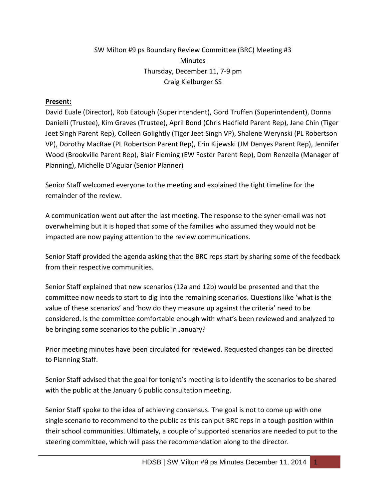## SW Milton #9 ps Boundary Review Committee (BRC) Meeting #3 Minutes Thursday, December 11, 7-9 pm Craig Kielburger SS

## **Present:**

David Euale (Director), Rob Eatough (Superintendent), Gord Truffen (Superintendent), Donna Danielli (Trustee), Kim Graves (Trustee), April Bond (Chris Hadfield Parent Rep), Jane Chin (Tiger Jeet Singh Parent Rep), Colleen Golightly (Tiger Jeet Singh VP), Shalene Werynski (PL Robertson VP), Dorothy MacRae (PL Robertson Parent Rep), Erin Kijewski (JM Denyes Parent Rep), Jennifer Wood (Brookville Parent Rep), Blair Fleming (EW Foster Parent Rep), Dom Renzella (Manager of Planning), Michelle D'Aguiar (Senior Planner)

Senior Staff welcomed everyone to the meeting and explained the tight timeline for the remainder of the review.

A communication went out after the last meeting. The response to the syner-email was not overwhelming but it is hoped that some of the families who assumed they would not be impacted are now paying attention to the review communications.

Senior Staff provided the agenda asking that the BRC reps start by sharing some of the feedback from their respective communities.

Senior Staff explained that new scenarios (12a and 12b) would be presented and that the committee now needs to start to dig into the remaining scenarios. Questions like 'what is the value of these scenarios' and 'how do they measure up against the criteria' need to be considered. Is the committee comfortable enough with what's been reviewed and analyzed to be bringing some scenarios to the public in January?

Prior meeting minutes have been circulated for reviewed. Requested changes can be directed to Planning Staff.

Senior Staff advised that the goal for tonight's meeting is to identify the scenarios to be shared with the public at the January 6 public consultation meeting.

Senior Staff spoke to the idea of achieving consensus. The goal is not to come up with one single scenario to recommend to the public as this can put BRC reps in a tough position within their school communities. Ultimately, a couple of supported scenarios are needed to put to the steering committee, which will pass the recommendation along to the director.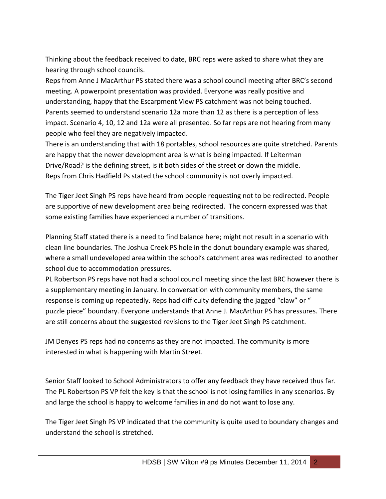Thinking about the feedback received to date, BRC reps were asked to share what they are hearing through school councils.

Reps from Anne J MacArthur PS stated there was a school council meeting after BRC's second meeting. A powerpoint presentation was provided. Everyone was really positive and understanding, happy that the Escarpment View PS catchment was not being touched. Parents seemed to understand scenario 12a more than 12 as there is a perception of less impact. Scenario 4, 10, 12 and 12a were all presented. So far reps are not hearing from many people who feel they are negatively impacted.

There is an understanding that with 18 portables, school resources are quite stretched. Parents are happy that the newer development area is what is being impacted. If Leiterman Drive/Road? is the defining street, is it both sides of the street or down the middle. Reps from Chris Hadfield Ps stated the school community is not overly impacted.

The Tiger Jeet Singh PS reps have heard from people requesting not to be redirected. People are supportive of new development area being redirected. The concern expressed was that some existing families have experienced a number of transitions.

Planning Staff stated there is a need to find balance here; might not result in a scenario with clean line boundaries. The Joshua Creek PS hole in the donut boundary example was shared, where a small undeveloped area within the school's catchment area was redirected to another school due to accommodation pressures.

PL Robertson PS reps have not had a school council meeting since the last BRC however there is a supplementary meeting in January. In conversation with community members, the same response is coming up repeatedly. Reps had difficulty defending the jagged "claw" or " puzzle piece" boundary. Everyone understands that Anne J. MacArthur PS has pressures. There are still concerns about the suggested revisions to the Tiger Jeet Singh PS catchment.

JM Denyes PS reps had no concerns as they are not impacted. The community is more interested in what is happening with Martin Street.

Senior Staff looked to School Administrators to offer any feedback they have received thus far. The PL Robertson PS VP felt the key is that the school is not losing families in any scenarios. By and large the school is happy to welcome families in and do not want to lose any.

The Tiger Jeet Singh PS VP indicated that the community is quite used to boundary changes and understand the school is stretched.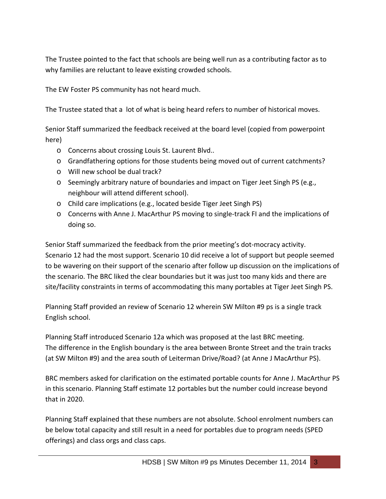The Trustee pointed to the fact that schools are being well run as a contributing factor as to why families are reluctant to leave existing crowded schools.

The EW Foster PS community has not heard much.

The Trustee stated that a lot of what is being heard refers to number of historical moves.

Senior Staff summarized the feedback received at the board level (copied from powerpoint here)

- o Concerns about crossing Louis St. Laurent Blvd..
- o Grandfathering options for those students being moved out of current catchments?
- o Will new school be dual track?
- o Seemingly arbitrary nature of boundaries and impact on Tiger Jeet Singh PS (e.g., neighbour will attend different school).
- o Child care implications (e.g., located beside Tiger Jeet Singh PS)
- o Concerns with Anne J. MacArthur PS moving to single-track FI and the implications of doing so.

Senior Staff summarized the feedback from the prior meeting's dot-mocracy activity. Scenario 12 had the most support. Scenario 10 did receive a lot of support but people seemed to be wavering on their support of the scenario after follow up discussion on the implications of the scenario. The BRC liked the clear boundaries but it was just too many kids and there are site/facility constraints in terms of accommodating this many portables at Tiger Jeet Singh PS.

Planning Staff provided an review of Scenario 12 wherein SW Milton #9 ps is a single track English school.

Planning Staff introduced Scenario 12a which was proposed at the last BRC meeting. The difference in the English boundary is the area between Bronte Street and the train tracks (at SW Milton #9) and the area south of Leiterman Drive/Road? (at Anne J MacArthur PS).

BRC members asked for clarification on the estimated portable counts for Anne J. MacArthur PS in this scenario. Planning Staff estimate 12 portables but the number could increase beyond that in 2020.

Planning Staff explained that these numbers are not absolute. School enrolment numbers can be below total capacity and still result in a need for portables due to program needs (SPED offerings) and class orgs and class caps.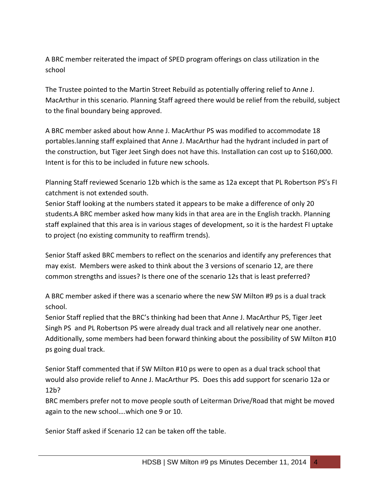A BRC member reiterated the impact of SPED program offerings on class utilization in the school

The Trustee pointed to the Martin Street Rebuild as potentially offering relief to Anne J. MacArthur in this scenario. Planning Staff agreed there would be relief from the rebuild, subject to the final boundary being approved.

A BRC member asked about how Anne J. MacArthur PS was modified to accommodate 18 portables.lanning staff explained that Anne J. MacArthur had the hydrant included in part of the construction, but Tiger Jeet Singh does not have this. Installation can cost up to \$160,000. Intent is for this to be included in future new schools.

Planning Staff reviewed Scenario 12b which is the same as 12a except that PL Robertson PS's FI catchment is not extended south.

Senior Staff looking at the numbers stated it appears to be make a difference of only 20 students.A BRC member asked how many kids in that area are in the English trackh. Planning staff explained that this area is in various stages of development, so it is the hardest FI uptake to project (no existing community to reaffirm trends).

Senior Staff asked BRC members to reflect on the scenarios and identify any preferences that may exist. Members were asked to think about the 3 versions of scenario 12, are there common strengths and issues? Is there one of the scenario 12s that is least preferred?

A BRC member asked if there was a scenario where the new SW Milton #9 ps is a dual track school.

Senior Staff replied that the BRC's thinking had been that Anne J. MacArthur PS, Tiger Jeet Singh PS and PL Robertson PS were already dual track and all relatively near one another. Additionally, some members had been forward thinking about the possibility of SW Milton #10 ps going dual track.

Senior Staff commented that if SW Milton #10 ps were to open as a dual track school that would also provide relief to Anne J. MacArthur PS. Does this add support for scenario 12a or 12b?

BRC members prefer not to move people south of Leiterman Drive/Road that might be moved again to the new school….which one 9 or 10.

Senior Staff asked if Scenario 12 can be taken off the table.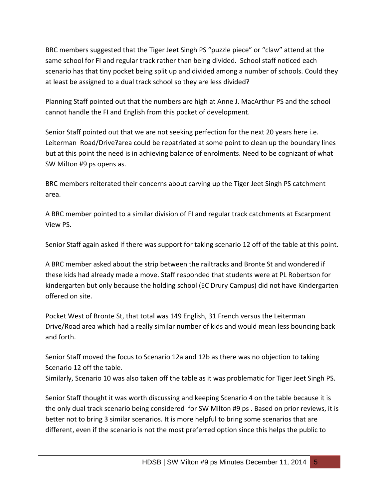BRC members suggested that the Tiger Jeet Singh PS "puzzle piece" or "claw" attend at the same school for FI and regular track rather than being divided. School staff noticed each scenario has that tiny pocket being split up and divided among a number of schools. Could they at least be assigned to a dual track school so they are less divided?

Planning Staff pointed out that the numbers are high at Anne J. MacArthur PS and the school cannot handle the FI and English from this pocket of development.

Senior Staff pointed out that we are not seeking perfection for the next 20 years here i.e. Leiterman Road/Drive?area could be repatriated at some point to clean up the boundary lines but at this point the need is in achieving balance of enrolments. Need to be cognizant of what SW Milton #9 ps opens as.

BRC members reiterated their concerns about carving up the Tiger Jeet Singh PS catchment area.

A BRC member pointed to a similar division of FI and regular track catchments at Escarpment View PS.

Senior Staff again asked if there was support for taking scenario 12 off of the table at this point.

A BRC member asked about the strip between the railtracks and Bronte St and wondered if these kids had already made a move. Staff responded that students were at PL Robertson for kindergarten but only because the holding school (EC Drury Campus) did not have Kindergarten offered on site.

Pocket West of Bronte St, that total was 149 English, 31 French versus the Leiterman Drive/Road area which had a really similar number of kids and would mean less bouncing back and forth.

Senior Staff moved the focus to Scenario 12a and 12b as there was no objection to taking Scenario 12 off the table.

Similarly, Scenario 10 was also taken off the table as it was problematic for Tiger Jeet Singh PS.

Senior Staff thought it was worth discussing and keeping Scenario 4 on the table because it is the only dual track scenario being considered for SW Milton #9 ps . Based on prior reviews, it is better not to bring 3 similar scenarios. It is more helpful to bring some scenarios that are different, even if the scenario is not the most preferred option since this helps the public to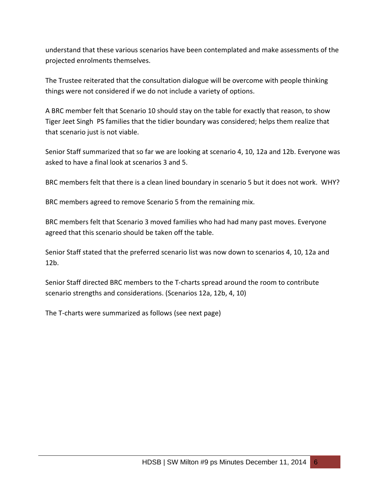understand that these various scenarios have been contemplated and make assessments of the projected enrolments themselves.

The Trustee reiterated that the consultation dialogue will be overcome with people thinking things were not considered if we do not include a variety of options.

A BRC member felt that Scenario 10 should stay on the table for exactly that reason, to show Tiger Jeet Singh PS families that the tidier boundary was considered; helps them realize that that scenario just is not viable.

Senior Staff summarized that so far we are looking at scenario 4, 10, 12a and 12b. Everyone was asked to have a final look at scenarios 3 and 5.

BRC members felt that there is a clean lined boundary in scenario 5 but it does not work. WHY?

BRC members agreed to remove Scenario 5 from the remaining mix.

BRC members felt that Scenario 3 moved families who had had many past moves. Everyone agreed that this scenario should be taken off the table.

Senior Staff stated that the preferred scenario list was now down to scenarios 4, 10, 12a and 12b.

Senior Staff directed BRC members to the T-charts spread around the room to contribute scenario strengths and considerations. (Scenarios 12a, 12b, 4, 10)

The T-charts were summarized as follows (see next page)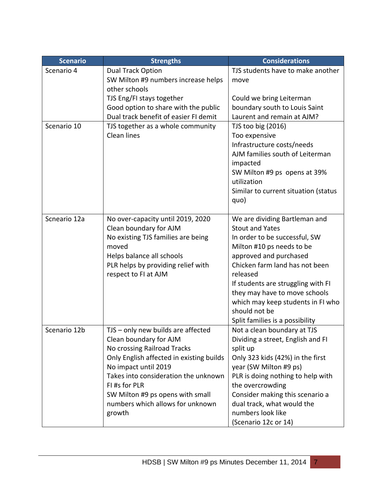| <b>Scenario</b> | <b>Strengths</b>                         | <b>Considerations</b>                |
|-----------------|------------------------------------------|--------------------------------------|
| Scenario 4      | <b>Dual Track Option</b>                 | TJS students have to make another    |
|                 | SW Milton #9 numbers increase helps      | move                                 |
|                 | other schools                            |                                      |
|                 | TJS Eng/FI stays together                | Could we bring Leiterman             |
|                 | Good option to share with the public     | boundary south to Louis Saint        |
|                 | Dual track benefit of easier FI demit    | Laurent and remain at AJM?           |
| Scenario 10     | TJS together as a whole community        | TJS too big (2016)                   |
|                 | Clean lines                              | Too expensive                        |
|                 |                                          | Infrastructure costs/needs           |
|                 |                                          | AJM families south of Leiterman      |
|                 |                                          | impacted                             |
|                 |                                          | SW Milton #9 ps opens at 39%         |
|                 |                                          | utilization                          |
|                 |                                          | Similar to current situation (status |
|                 |                                          | quo)                                 |
|                 |                                          |                                      |
| Scneario 12a    | No over-capacity until 2019, 2020        | We are dividing Bartleman and        |
|                 | Clean boundary for AJM                   | <b>Stout and Yates</b>               |
|                 | No existing TJS families are being       | In order to be successful, SW        |
|                 | moved                                    | Milton #10 ps needs to be            |
|                 | Helps balance all schools                | approved and purchased               |
|                 | PLR helps by providing relief with       | Chicken farm land has not been       |
|                 | respect to FI at AJM                     | released                             |
|                 |                                          | If students are struggling with FI   |
|                 |                                          | they may have to move schools        |
|                 |                                          | which may keep students in FI who    |
|                 |                                          | should not be                        |
|                 |                                          | Split families is a possibility      |
| Scenario 12b    | TJS - only new builds are affected       | Not a clean boundary at TJS          |
|                 | Clean boundary for AJM                   | Dividing a street, English and FI    |
|                 | No crossing Railroad Tracks              | split up                             |
|                 | Only English affected in existing builds | Only 323 kids (42%) in the first     |
|                 | No impact until 2019                     | year (SW Milton #9 ps)               |
|                 | Takes into consideration the unknown     | PLR is doing nothing to help with    |
|                 | FI #s for PLR                            | the overcrowding                     |
|                 | SW Milton #9 ps opens with small         | Consider making this scenario a      |
|                 | numbers which allows for unknown         | dual track, what would the           |
|                 | growth                                   | numbers look like                    |
|                 |                                          | (Scenario 12c or 14)                 |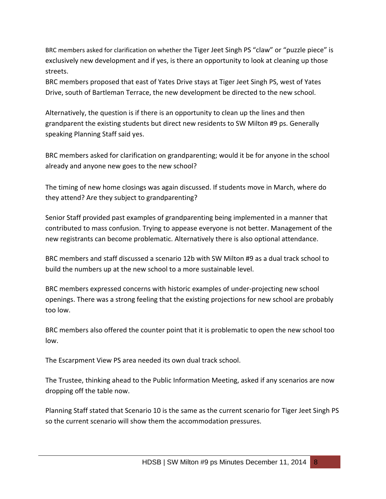BRC members asked for clarification on whether the Tiger Jeet Singh PS "claw" or "puzzle piece" is exclusively new development and if yes, is there an opportunity to look at cleaning up those streets.

BRC members proposed that east of Yates Drive stays at Tiger Jeet Singh PS, west of Yates Drive, south of Bartleman Terrace, the new development be directed to the new school.

Alternatively, the question is if there is an opportunity to clean up the lines and then grandparent the existing students but direct new residents to SW Milton #9 ps. Generally speaking Planning Staff said yes.

BRC members asked for clarification on grandparenting; would it be for anyone in the school already and anyone new goes to the new school?

The timing of new home closings was again discussed. If students move in March, where do they attend? Are they subject to grandparenting?

Senior Staff provided past examples of grandparenting being implemented in a manner that contributed to mass confusion. Trying to appease everyone is not better. Management of the new registrants can become problematic. Alternatively there is also optional attendance.

BRC members and staff discussed a scenario 12b with SW Milton #9 as a dual track school to build the numbers up at the new school to a more sustainable level.

BRC members expressed concerns with historic examples of under-projecting new school openings. There was a strong feeling that the existing projections for new school are probably too low.

BRC members also offered the counter point that it is problematic to open the new school too low.

The Escarpment View PS area needed its own dual track school.

The Trustee, thinking ahead to the Public Information Meeting, asked if any scenarios are now dropping off the table now.

Planning Staff stated that Scenario 10 is the same as the current scenario for Tiger Jeet Singh PS so the current scenario will show them the accommodation pressures.